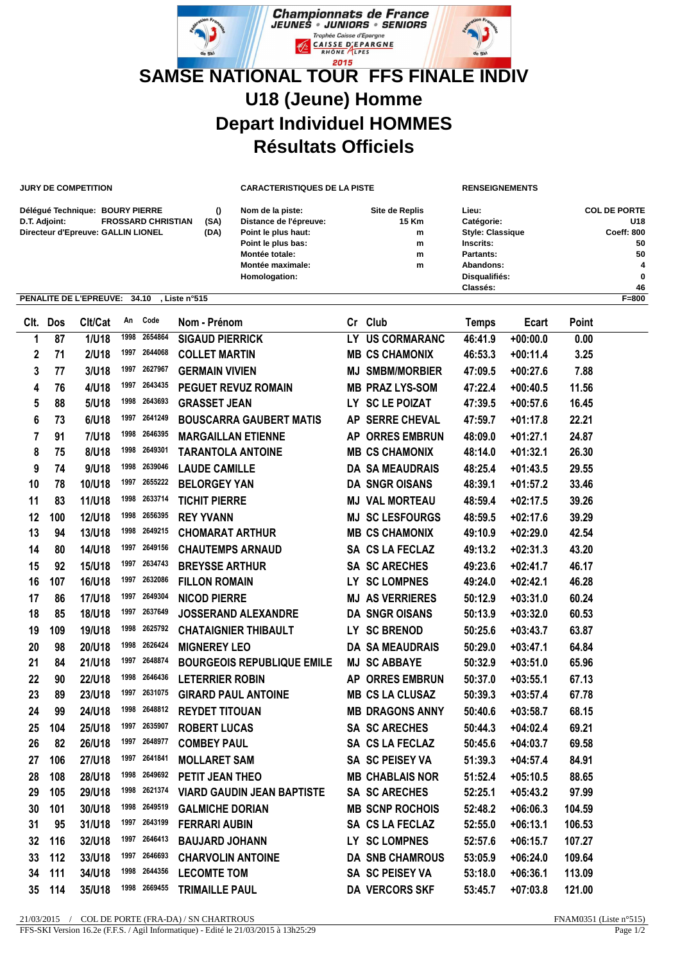

**JURY DE COMPETITION CARACTERISTIQUES DE LA PISTE RENSEIGNEMENTS**

| Délégué Technique: BOURY PIERRE            |      | Nom de la piste:       | Site de Replis | Lieu:                   | <b>COL DE PORTE</b> |
|--------------------------------------------|------|------------------------|----------------|-------------------------|---------------------|
| <b>FROSSARD CHRISTIAN</b><br>D.T. Adjoint: | (SA) | Distance de l'épreuve: | 15 Km          | Catégorie:              | U18                 |
| Directeur d'Epreuve: GALLIN LIONEL         | (DA) | Point le plus haut:    | m              | <b>Style: Classique</b> | <b>Coeff: 800</b>   |
|                                            |      | Point le plus bas:     | m              | Inscrits:               | 50                  |
|                                            |      | Montée totale:         | m              | Partants:               | 50                  |
|                                            |      | Montée maximale:       | m              | Abandons:               |                     |
|                                            |      | Homologation:          |                | Disqualifiés:           | 0                   |
|                                            |      |                        |                | Classés:                | 46                  |

## **PENALITE DE L'EPREUVE: 34.10 , Liste n°515 F=800**

|                | Clt. Dos | Clt/Cat      | An   | Code         | Nom - Prénom                      |    | Cr Club                | <b>Temps</b> | Ecart      | Point  |  |
|----------------|----------|--------------|------|--------------|-----------------------------------|----|------------------------|--------------|------------|--------|--|
| 1              | 87       | 1/U18        | 1998 | 2654864      | <b>SIGAUD PIERRICK</b>            |    | LY US CORMARANC        | 46:41.9      | $+00:00.0$ | 0.00   |  |
| $\mathbf{2}$   | 71       | 2/U18        | 1997 | 2644068      | <b>COLLET MARTIN</b>              |    | <b>MB CS CHAMONIX</b>  | 46:53.3      | $+00:11.4$ | 3.25   |  |
| 3              | 77       | 3/U18        | 1997 | 2627967      | <b>GERMAIN VIVIEN</b>             |    | <b>MJ SMBM/MORBIER</b> | 47:09.5      | $+00:27.6$ | 7.88   |  |
| 4              | 76       | 4/U18        | 1997 | 2643435      | <b>PEGUET REVUZ ROMAIN</b>        |    | <b>MB PRAZ LYS-SOM</b> | 47:22.4      | $+00:40.5$ | 11.56  |  |
| 5              | 88       | 5/U18        | 1998 | 2643693      | <b>GRASSET JEAN</b>               |    | LY SC LE POIZAT        | 47:39.5      | $+00:57.6$ | 16.45  |  |
| 6              | 73       | 6/U18        | 1997 | 2641249      | <b>BOUSCARRA GAUBERT MATIS</b>    |    | AP SERRE CHEVAL        | 47:59.7      | $+01:17.8$ | 22.21  |  |
| $\overline{7}$ | 91       | <b>7/U18</b> | 1998 | 2646395      | <b>MARGAILLAN ETIENNE</b>         | AP | <b>ORRES EMBRUN</b>    | 48:09.0      | $+01:27.1$ | 24.87  |  |
| 8              | 75       | 8/U18        | 1998 | 2649301      | <b>TARANTOLA ANTOINE</b>          |    | <b>MB CS CHAMONIX</b>  | 48:14.0      | $+01:32.1$ | 26.30  |  |
| 9              | 74       | 9/U18        |      | 1998 2639046 | <b>LAUDE CAMILLE</b>              |    | <b>DA SA MEAUDRAIS</b> | 48:25.4      | $+01:43.5$ | 29.55  |  |
| 10             | 78       | 10/U18       |      | 1997 2655222 | <b>BELORGEY YAN</b>               |    | <b>DA SNGR OISANS</b>  | 48:39.1      | $+01:57.2$ | 33.46  |  |
| 11             | 83       | 11/U18       |      | 1998 2633714 | <b>TICHIT PIERRE</b>              |    | <b>MJ VAL MORTEAU</b>  | 48:59.4      | $+02:17.5$ | 39.26  |  |
| 12             | 100      | 12/U18       |      | 1998 2656395 | <b>REY YVANN</b>                  |    | <b>MJ SC LESFOURGS</b> | 48:59.5      | $+02:17.6$ | 39.29  |  |
| 13             | 94       | 13/U18       |      | 1998 2649215 | <b>CHOMARAT ARTHUR</b>            |    | <b>MB CS CHAMONIX</b>  | 49:10.9      | $+02:29.0$ | 42.54  |  |
| 14             | 80       | 14/U18       | 1997 | 2649156      | <b>CHAUTEMPS ARNAUD</b>           |    | SA CS LA FECLAZ        | 49:13.2      | $+02:31.3$ | 43.20  |  |
| 15             | 92       | 15/U18       |      | 1997 2634743 | <b>BREYSSE ARTHUR</b>             |    | <b>SA SC ARECHES</b>   | 49:23.6      | $+02:41.7$ | 46.17  |  |
| 16             | 107      | 16/U18       | 1997 | 2632086      | <b>FILLON ROMAIN</b>              |    | LY SC LOMPNES          | 49:24.0      | $+02:42.1$ | 46.28  |  |
| 17             | 86       | 17/U18       | 1997 | 2649304      | <b>NICOD PIERRE</b>               |    | <b>MJ AS VERRIERES</b> | 50:12.9      | $+03:31.0$ | 60.24  |  |
| 18             | 85       | 18/U18       | 1997 | 2637649      | <b>JOSSERAND ALEXANDRE</b>        |    | <b>DA SNGR OISANS</b>  | 50:13.9      | $+03:32.0$ | 60.53  |  |
| 19             | 109      | 19/U18       | 1998 | 2625792      | <b>CHATAIGNIER THIBAULT</b>       |    | LY SC BRENOD           | 50:25.6      | $+03:43.7$ | 63.87  |  |
| 20             | 98       | 20/U18       | 1998 | 2626424      | <b>MIGNEREY LEO</b>               |    | <b>DA SA MEAUDRAIS</b> | 50:29.0      | $+03:47.1$ | 64.84  |  |
| 21             | 84       | 21/U18       | 1997 | 2648874      | <b>BOURGEOIS REPUBLIQUE EMILE</b> |    | <b>MJ SC ABBAYE</b>    | 50:32.9      | $+03:51.0$ | 65.96  |  |
| 22             | 90       | 22/U18       | 1998 | 2646436      | <b>LETERRIER ROBIN</b>            |    | <b>AP ORRES EMBRUN</b> | 50:37.0      | $+03:55.1$ | 67.13  |  |
| 23             | 89       | 23/U18       | 1997 | 2631075      | <b>GIRARD PAUL ANTOINE</b>        |    | <b>MB CS LA CLUSAZ</b> | 50:39.3      | $+03:57.4$ | 67.78  |  |
| 24             | 99       | 24/U18       | 1998 | 2648812      | <b>REYDET TITOUAN</b>             |    | <b>MB DRAGONS ANNY</b> | 50:40.6      | $+03:58.7$ | 68.15  |  |
| 25             | 104      | 25/U18       | 1997 | 2635907      | <b>ROBERT LUCAS</b>               |    | <b>SA SC ARECHES</b>   | 50:44.3      | $+04:02.4$ | 69.21  |  |
| 26             | 82       | 26/U18       | 1997 | 2648977      | <b>COMBEY PAUL</b>                |    | SA CS LA FECLAZ        | 50:45.6      | +04:03.7   | 69.58  |  |
| 27             | 106      | 27/U18       | 1997 | 2641841      | <b>MOLLARET SAM</b>               |    | SA SC PEISEY VA        | 51:39.3      | $+04:57.4$ | 84.91  |  |
| 28             | 108      | 28/U18       | 1998 | 2649692      | PETIT JEAN THEO                   |    | <b>MB CHABLAIS NOR</b> | 51:52.4      | $+05:10.5$ | 88.65  |  |
| 29             | 105      | 29/U18       | 1998 | 2621374      | <b>VIARD GAUDIN JEAN BAPTISTE</b> |    | <b>SA SC ARECHES</b>   | 52:25.1      | $+05:43.2$ | 97.99  |  |
| 30             | 101      | 30/U18       | 1998 | 2649519      | <b>GALMICHE DORIAN</b>            |    | <b>MB SCNP ROCHOIS</b> | 52:48.2      | $+06:06.3$ | 104.59 |  |
| 31             | 95       | 31/U18       | 1997 | 2643199      | <b>FERRARI AUBIN</b>              |    | SA CS LA FECLAZ        | 52:55.0      | $+06:13.1$ | 106.53 |  |
| 32             | 116      | 32/U18       | 1997 | 2646413      | <b>BAUJARD JOHANN</b>             |    | LY SC LOMPNES          | 52:57.6      | +06:15.7   | 107.27 |  |
| 33             | 112      | 33/U18       | 1997 | 2646693      | <b>CHARVOLIN ANTOINE</b>          |    | <b>DA SNB CHAMROUS</b> | 53:05.9      | $+06:24.0$ | 109.64 |  |
| 34             | 111      | 34/U18       | 1998 | 2644356      | <b>LECOMTE TOM</b>                |    | <b>SA SC PEISEY VA</b> | 53:18.0      | $+06:36.1$ | 113.09 |  |
| 35             | 114      | 35/U18       | 1998 | 2669455      | <b>TRIMAILLE PAUL</b>             |    | <b>DA VERCORS SKF</b>  | 53:45.7      | $+07:03.8$ | 121.00 |  |
|                |          |              |      |              |                                   |    |                        |              |            |        |  |

21/03/2015 / COL DE PORTE (FRA-DA) / SN CHARTROUS FNAM0351 (Liste n°515)